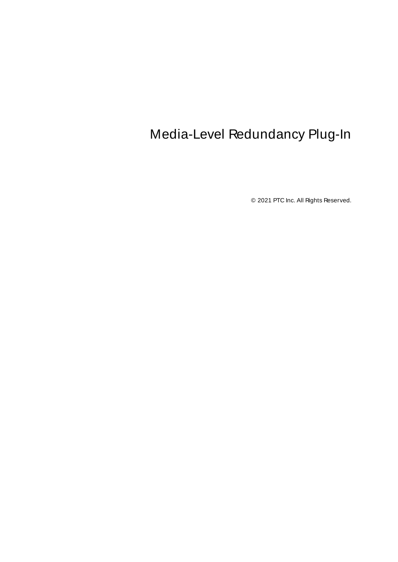# <span id="page-0-0"></span>Media-Level Redundancy Plug-In

© 2021 PTC Inc. All Rights Reserved.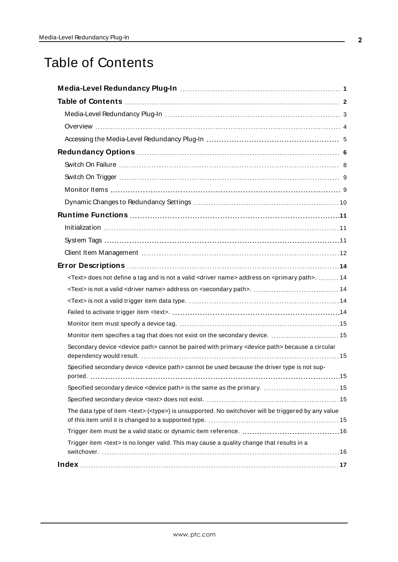# <span id="page-1-0"></span>Table of Contents

| <text> does not define a tag and is not a valid <driver name=""> address on <primary path="">.  14</primary></driver></text> |
|------------------------------------------------------------------------------------------------------------------------------|
|                                                                                                                              |
|                                                                                                                              |
|                                                                                                                              |
|                                                                                                                              |
| Monitor item specifies a tag that does not exist on the secondary device.  15                                                |
| Secondary device <device path=""> cannot be paired with primary <device path=""> because a circular</device></device>        |
| Specified secondary device <device path=""> cannot be used because the driver type is not sup-</device>                      |
| Specified secondary device <device path=""> is the same as the primary.  15</device>                                         |
|                                                                                                                              |
| The data type of item <text> (<type>) is unsupported. No switchover will be triggered by any value</type></text>             |
|                                                                                                                              |
| Trigger item <text> is no longer valid. This may cause a quality change that results in a</text>                             |
|                                                                                                                              |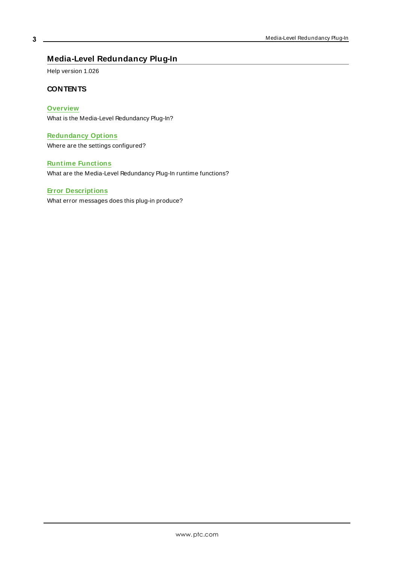# <span id="page-2-0"></span>**Media-Level Redundancy Plug-In**

Help version 1.026

#### **CONTENTS**

## **[Overview](#page-3-0)**

What is the Media-Level Redundancy Plug-In?

# **[Redundancy](#page-5-0) Options**

Where are the settings configured?

#### **[Runtime Functions](#page-10-0)**

What are the Media-Level Redundancy Plug-In runtime functions?

#### **Error [Descriptions](#page-13-0)**

What error messages does this plug-in produce?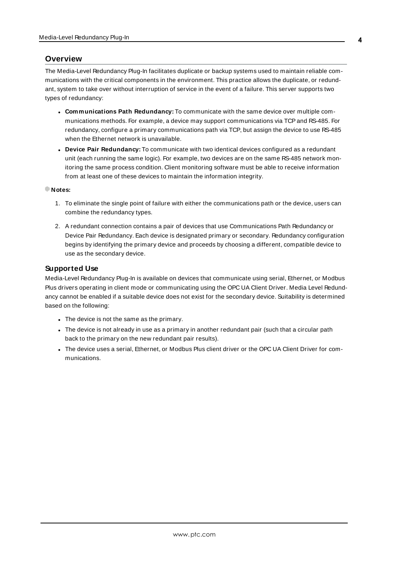#### <span id="page-3-0"></span>**Overview**

The Media-Level Redundancy Plug-In facilitates duplicate or backup systems used to maintain reliable communications with the critical components in the environment. This practice allows the duplicate, or redundant, system to take over without interruption of service in the event of a failure. This server supports two types of redundancy:

- <sup>l</sup> **Communications Path Redundancy:** To communicate with the same device over multiple communications methods. For example, a device may support communications via TCPand RS-485. For redundancy, configure a primary communications path via TCP, but assign the device to use RS-485 when the Ethernet network is unavailable.
- **.** Device Pair Redundancy: To communicate with two identical devices configured as a redundant unit (each running the same logic). For example, two devices are on the same RS-485 network monitoring the same process condition. Client monitoring software must be able to receive information from at least one of these devices to maintain the information integrity.

#### **Notes:**

- 1. To eliminate the single point of failure with either the communications path or the device, users can combine the redundancy types.
- 2. A redundant connection contains a pair of devices that use Communications Path Redundancy or Device Pair Redundancy. Each device is designated primary or secondary. Redundancy configuration begins by identifying the primary device and proceeds by choosing a different, compatible device to use as the secondary device.

#### **Supported Use**

Media-Level Redundancy Plug-In is available on devices that communicate using serial, Ethernet, or Modbus Plus drivers operating in client mode or communicating using the OPC UA Client Driver. Media Level Redundancy cannot be enabled if a suitable device does not exist for the secondary device. Suitability is determined based on the following:

- The device is not the same as the primary.
- <sup>l</sup> The device is not already in use as a primary in another redundant pair (such that a circular path back to the primary on the new redundant pair results).
- The device uses a serial, Ethernet, or Modbus Plus client driver or the OPC UA Client Driver for communications.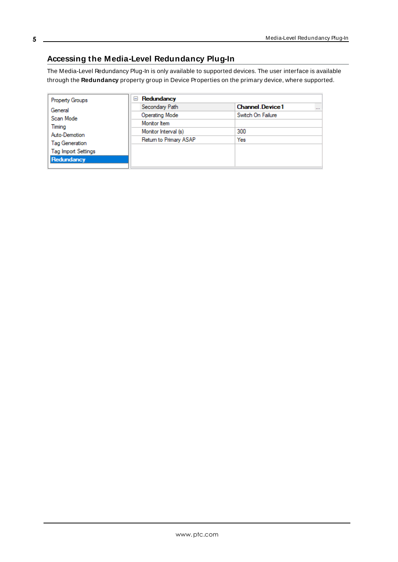# <span id="page-4-0"></span>**Accessing the Media-Level Redundancy Plug-In**

The Media-Level Redundancy Plug-In is only available to supported devices. The user interface is available through the **Redundancy** property group in Device Properties on the primary device, where supported.

| <b>Property Groups</b>          | Redundancy<br>$=$      |                                    |  |
|---------------------------------|------------------------|------------------------------------|--|
| General<br>Scan Mode            | Secondary Path         | <b>Channel Device1</b><br>$\cdots$ |  |
|                                 | <b>Operating Mode</b>  | Switch On Failure                  |  |
| Timing                          | Monitor Item           |                                    |  |
| Auto-Demotion<br>Tag Generation | Monitor Interval (s)   | 300                                |  |
|                                 | Return to Primary ASAP | Yes                                |  |
| <b>Tag Import Settings</b>      |                        |                                    |  |
| Redundancy                      |                        |                                    |  |
|                                 |                        |                                    |  |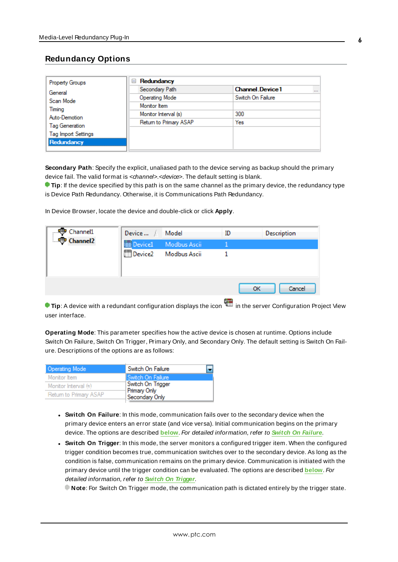## <span id="page-5-0"></span>**Redundancy Options**

| <b>Property Groups</b>     | Redundancy<br>$=$      |                                    |  |
|----------------------------|------------------------|------------------------------------|--|
| General                    | Secondary Path         | <b>Channel Device1</b><br>$\cdots$ |  |
| Scan Mode                  | <b>Operating Mode</b>  | Switch On Failure                  |  |
| Timing                     | Monitor Item           |                                    |  |
| Auto-Demotion              | Monitor Interval (s)   | 300                                |  |
| Tag Generation             | Return to Primary ASAP | Yes                                |  |
|                            |                        |                                    |  |
| <b>Tag Import Settings</b> |                        |                                    |  |
| Redundancy                 |                        |                                    |  |

**Secondary Path**: Specify the explicit, unaliased path to the device serving as backup should the primary device fail. The valid format is <channel>.<device>. The default setting is blank.

**Tip**: If the device specified by this path is on the same channel as the primary device, the redundancy type is Device Path Redundancy. Otherwise, it is Communications Path Redundancy.

In Device Browser, locate the device and double-click or click **Apply**.

| ·· Channel1          | Device              | Model               | ID | Description |
|----------------------|---------------------|---------------------|----|-------------|
| Channel <sub>2</sub> | <b>Device1</b>      | Modbus Ascii        |    |             |
|                      | Device <sub>2</sub> | <b>Modbus Ascii</b> |    |             |
|                      |                     |                     |    |             |
|                      |                     |                     |    |             |
|                      |                     |                     | OK | Cancel      |

**Tip**: A device with a redundant configuration displays the icon **in the server Configuration Project View** user interface.

**Operating Mode**: This parameter specifies how the active device is chosen at runtime. Options include Switch On Failure, Switch On Trigger, Primary Only, and Secondary Only. The default setting is Switch On Failure. Descriptions of the options are as follows:

| Operating Mode         | Switch On Failure                 |
|------------------------|-----------------------------------|
| Monitor Item           | l Switch On Failure               |
| Monitor Interval (s)   | Switch On Trigger<br>Primary Only |
| Return to Primary ASAP | Secondary Only                    |

- <sup>l</sup> **Switch On Failure**: In this mode, communication fails over to the secondary device when the primary device enters an error state (and vice versa). Initial communication begins on the primary device. The options are described **[below](#page-6-0)**. For detailed information, refer to **Switch On [Failure](#page-7-0)**.
- <sup>l</sup> **Switch On Trigger**: In this mode, the server monitors a configured trigger item. When the configured trigger condition becomes true, communication switches over to the secondary device. As long as the condition is false, communication remains on the primary device. Communication is initiated with the primary device until the trigger condition can be evaluated. The options are described **[below](#page-6-0)**. For detailed information, refer to **Switch On [Trigger](#page-8-0)**.

**Note**: For Switch On Trigger mode, the communication path is dictated entirely by the trigger state.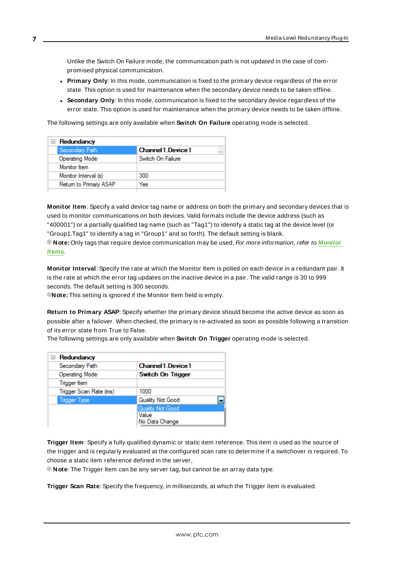Unlike the Switch On Failure mode, the communication path is not updated in the case of compromised physical communication.

- **Primary Only:** In this mode, communication is fixed to the primary device regardless of the error state. This option is used for maintenance when the secondary device needs to be taken offline.
- **Secondary Only:** In this mode, communication is fixed to the secondary device regardless of the error state. This option is used for maintenance when the primary device needs to be taken offline.

<span id="page-6-0"></span>The following settings are only available when **Switch On Failure** operating mode is selected.

| $\Box$ Redundancy      |                     |  |
|------------------------|---------------------|--|
| Secondary Path         | Channel 1. Device 1 |  |
| Operating Mode         | Switch On Failure   |  |
| Monitor Item           |                     |  |
| Monitor Interval (s)   | 300                 |  |
| Return to Primary ASAP | Yes                 |  |
|                        |                     |  |

**Monitor Item**: Specify a valid device tag name or address on both the primary and secondary devices that is used to monitor communications on both devices. Valid formats include the device address (such as "400001") or a partially qualified tag name (such as "Tag1") to identify a static tag at the device level (or "Group1.Tag1" to identify a tag in "Group1" and so forth). The default setting is blank.

**Note:** Only tags that require device communication may be used. For more information, refer to **[Monitor](#page-8-1) [Items](#page-8-1)**.

**Monitor Interval**: Specify the rate at which the Monitor Item is polled on each device in a redundant pair. It is the rate at which the error tag updates on the inactive device in a pair. The valid range is 30 to 999 seconds. The default setting is 300 seconds.

**Note:** This setting is ignored if the Monitor Item field is empty.

**Return to Primary ASAP**: Specify whether the primary device should become the active device as soon as possible after a failover. When checked, the primary is re-activated as soon as possible following a transition of its error state from True to False.

The following settings are only available when **Switch On Trigger** operating mode is selected.

| $\Box$ Redundancy      |                            |
|------------------------|----------------------------|
| Secondary Path         | <b>Channel 1. Device 1</b> |
| Operating Mode         | Switch On Trigger          |
| <b>Trigger</b> Item    |                            |
| Trigger Scan Rate (ms) | 1000                       |
| <b>Trigger Type</b>    | Quality Not Good           |
|                        | Quality Not Good           |
|                        | Value<br>No Data Change    |

**Trigger Item**: Specify a fully qualified dynamic or static item reference. This item is used as the source of the trigger and is regularly evaluated at the configured scan rate to determine if a switchover is required. To choose a static item reference defined in the server,

**Note**: The Trigger Item can be any server tag, but cannot be an array data type.

**Trigger Scan Rate**: Specify the frequency, in milliseconds, at which the Trigger item is evaluated.

**7**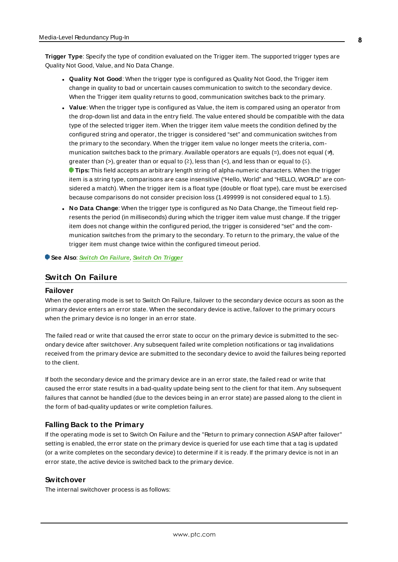**Trigger Type**: Specify the type of condition evaluated on the Trigger item. The supported trigger types are Quality Not Good, Value, and No Data Change.

- **.** Quality Not Good: When the trigger type is configured as Quality Not Good, the Trigger item change in quality to bad or uncertain causes communication to switch to the secondary device. When the Trigger item quality returns to good, communication switches back to the primary.
- **Value**: When the trigger type is configured as Value, the item is compared using an operator from the drop-down list and data in the entry field. The value entered should be compatible with the data type of the selected trigger item. When the trigger item value meets the condition defined by the configured string and operator, the trigger is considered "set" and communication switches from the primary to the secondary. When the trigger item value no longer meets the criteria, communication switches back to the primary. Available operators are equals (=), does not equal ( $\neq$ ), greater than (>), greater than or equal to  $(2)$ , less than  $($ <), and less than or equal to  $($ ≤). **Tips:** This field accepts an arbitrary length string of alpha-numeric characters. When the trigger item is a string type, comparisons are case insensitive ("Hello, World" and "HELLO, WORLD" are considered a match). When the trigger item is a float type (double or float type), care must be exercised because comparisons do not consider precision loss (1.499999 is not considered equal to 1.5).
- <sup>l</sup> **No Data Change**: When the trigger type is configured as No Data Change, the Timeout field represents the period (in milliseconds) during which the trigger item value must change. If the trigger item does not change within the configured period, the trigger is considered "set" and the communication switches from the primary to the secondary. To return to the primary, the value of the trigger item must change twice within the configured timeout period.

<span id="page-7-0"></span>**See Also**: **Switch On [Failure](#page-7-0)**, **Switch On [Trigger](#page-8-0)**

## <span id="page-7-1"></span>**Switch On Failure**

#### **Failover**

When the operating mode is set to Switch On Failure, failover to the secondary device occurs as soon as the primary device enters an error state. When the secondary device is active, failover to the primary occurs when the primary device is no longer in an error state.

The failed read or write that caused the error state to occur on the primary device is submitted to the secondary device after switchover. Any subsequent failed write completion notifications or tag invalidations received from the primary device are submitted to the secondary device to avoid the failures being reported to the client.

If both the secondary device and the primary device are in an error state, the failed read or write that caused the error state results in a bad-quality update being sent to the client for that item. Any subsequent failures that cannot be handled (due to the devices being in an error state) are passed along to the client in the form of bad-quality updates or write completion failures.

#### <span id="page-7-2"></span>**Falling Back to the Primary**

If the operating mode is set to Switch On Failure and the "Return to primary connection ASAPafter failover" setting is enabled, the error state on the primary device is queried for use each time that a tag is updated (or a write completes on the secondary device) to determine if it is ready. If the primary device is not in an error state, the active device is switched back to the primary device.

#### <span id="page-7-3"></span>**Switchover**

The internal switchover process is as follows: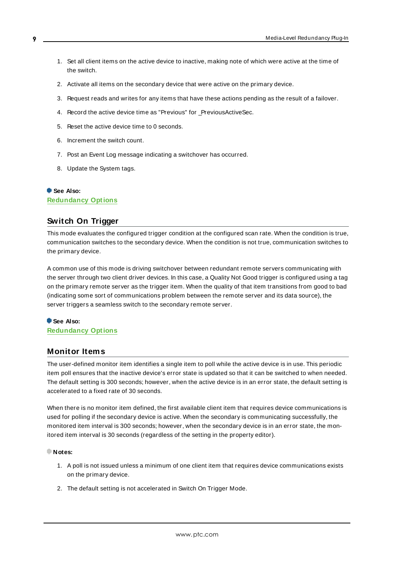- 1. Set all client items on the active device to inactive, making note of which were active at the time of the switch.
- 2. Activate all items on the secondary device that were active on the primary device.
- 3. Request reads and writes for any items that have these actions pending as the result of a failover.
- 4. Record the active device time as "Previous" for PreviousActiveSec.
- 5. Reset the active device time to 0 seconds.
- 6. Increment the switch count.
- 7. Post an Event Log message indicating a switchover has occurred.
- 8. Update the System tags.

# **See Also:**

<span id="page-8-0"></span>**[Redundancy](#page-5-0) Options**

# **Switch On Trigger**

This mode evaluates the configured trigger condition at the configured scan rate. When the condition is true, communication switches to the secondary device. When the condition is not true, communication switches to the primary device.

A common use of this mode is driving switchover between redundant remote servers communicating with the server through two client driver devices. In this case, a Quality Not Good trigger is configured using a tag on the primary remote server as the trigger item. When the quality of that item transitions from good to bad (indicating some sort of communications problem between the remote server and its data source), the server triggers a seamless switch to the secondary remote server.

#### **See Also: [Redundancy](#page-5-0) Options**

#### <span id="page-8-1"></span>**Monitor Items**

The user-defined monitor item identifies a single item to poll while the active device is in use. This periodic item poll ensures that the inactive device's error state is updated so that it can be switched to when needed. The default setting is 300 seconds; however, when the active device is in an error state, the default setting is accelerated to a fixed rate of 30 seconds.

When there is no monitor item defined, the first available client item that requires device communications is used for polling if the secondary device is active. When the secondary is communicating successfully, the monitored item interval is 300 seconds; however, when the secondary device is in an error state, the monitored item interval is 30 seconds (regardless of the setting in the property editor).

#### **Notes:**

- 1. A poll is not issued unless a minimum of one client item that requires device communications exists on the primary device.
- 2. The default setting is not accelerated in Switch On Trigger Mode.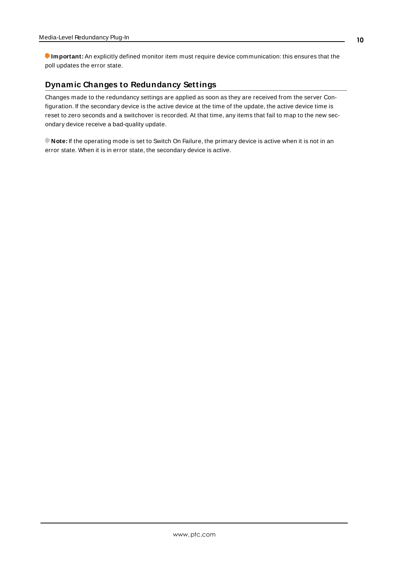**Important:** An explicitly defined monitor item must require device communication: this ensures that the poll updates the error state.

# <span id="page-9-0"></span>**Dynamic Changes to Redundancy Settings**

Changes made to the redundancy settings are applied as soon as they are received from the server Configuration. If the secondary device is the active device at the time of the update, the active device time is reset to zero seconds and a switchover is recorded. At that time, any items that fail to map to the new secondary device receive a bad-quality update.

**Note:** If the operating mode is set to Switch On Failure, the primary device is active when it is not in an error state. When it is in error state, the secondary device is active.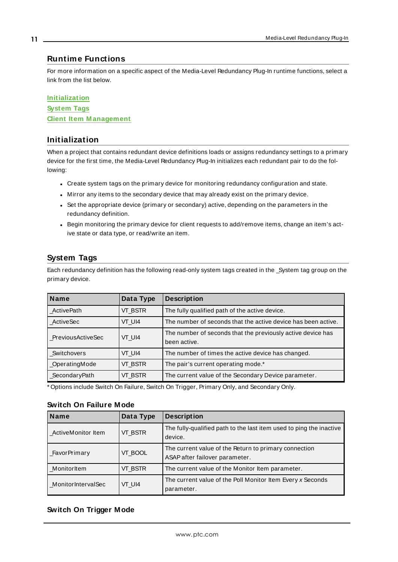## <span id="page-10-0"></span>**Runtime Functions**

For more information on a specific aspect of the Media-Level Redundancy Plug-In runtime functions, select a link from the list below.

#### **[Initialization](#page-10-1)**

**[System](#page-10-2) Tags Client Item [M anagement](#page-11-0)**

## <span id="page-10-1"></span>**Initialization**

When a project that contains redundant device definitions loads or assigns redundancy settings to a primary device for the first time, the Media-Level Redundancy Plug-In initializes each redundant pair to do the following:

- Create system tags on the primary device for monitoring redundancy configuration and state.
- Mirror any items to the secondary device that may already exist on the primary device.
- Set the appropriate device (primary or secondary) active, depending on the parameters in the redundancy definition.
- Begin monitoring the primary device for client requests to add/remove items, change an item's active state or data type, or read/write an item.

# <span id="page-10-2"></span>**System Tags**

Each redundancy definition has the following read-only system tags created in the \_System tag group on the primary device.

| <b>Name</b>       | Data Type | <b>Description</b>                                            |
|-------------------|-----------|---------------------------------------------------------------|
| ActivePath        | VT_BSTR   | The fully qualified path of the active device.                |
| ActiveSec         | VT UI4    | The number of seconds that the active device has been active. |
| PreviousActiveSec | VT UI4    | The number of seconds that the previously active device has   |
|                   |           | been active.                                                  |
| Switchovers       | VT UI4    | The number of times the active device has changed.            |
| _OperatingMode    | VT_BSTR   | The pair's current operating mode.*                           |
| _SecondaryPath    | VT BSTR   | The current value of the Secondary Device parameter.          |

\* Options include Switch On Failure, Switch On Trigger, Primary Only, and Secondary Only.

#### **Switch On Failure Mode**

| <b>Name</b>         | Data Type | <b>Description</b>                                                                      |
|---------------------|-----------|-----------------------------------------------------------------------------------------|
| _ActiveMonitor Item | VT_BSTR   | The fully-qualified path to the last item used to ping the inactive<br>device.          |
| _FavorPrimary       | VT_BOOL   | The current value of the Return to primary connection<br>ASAP after failover parameter. |
| _MonitorItem        | VT BSTR   | The current value of the Monitor Item parameter.                                        |
| MonitorIntervalSec  | VT UI4    | The current value of the Poll Monitor Item Every x Seconds<br>parameter.                |

## **Switch On Trigger Mode**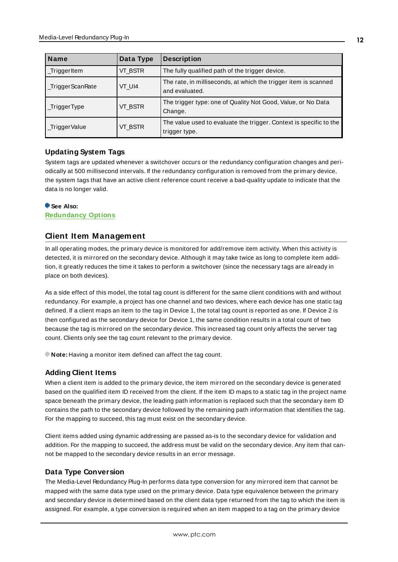| <b>Name</b>      | Data Type | <b>Description</b>                                                                  |
|------------------|-----------|-------------------------------------------------------------------------------------|
| _TriggerItem     | VT BSTR   | The fully qualified path of the trigger device.                                     |
| _TriggerScanRate | VT UI4    | The rate, in milliseconds, at which the trigger item is scanned<br>and evaluated.   |
| $_T$ riggerType  | VT BSTR   | The trigger type: one of Quality Not Good, Value, or No Data<br>Change.             |
| _TriggerValue    | VT BSTR   | The value used to evaluate the trigger. Context is specific to the<br>trigger type. |

## **Updating System Tags**

System tags are updated whenever a switchover occurs or the redundancy configuration changes and periodically at 500 millisecond intervals. If the redundancy configuration is removed from the primary device, the system tags that have an active client reference count receive a bad-quality update to indicate that the data is no longer valid.

#### **See Also: [Redundancy](#page-5-0) Options**

# <span id="page-11-0"></span>**Client Item Management**

In all operating modes, the primary device is monitored for add/remove item activity. When this activity is detected, it is mirrored on the secondary device. Although it may take twice as long to complete item addition, it greatly reduces the time it takes to perform a switchover (since the necessary tags are already in place on both devices).

As a side effect of this model, the total tag count is different for the same client conditions with and without redundancy. For example, a project has one channel and two devices, where each device has one static tag defined. If a client maps an item to the tag in Device 1, the total tag count is reported as one. If Device 2 is then configured as the secondary device for Device 1, the same condition results in a total count of two because the tag is mirrored on the secondary device. This increased tag count only affects the server tag count. Clients only see the tag count relevant to the primary device.

**Note:** Having a monitor item defined can affect the tag count.

## **Adding Client Items**

When a client item is added to the primary device, the item mirrored on the secondary device is generated based on the qualified item ID received from the client. If the item ID maps to a static tag in the project name space beneath the primary device, the leading path information is replaced such that the secondary item ID contains the path to the secondary device followed by the remaining path information that identifies the tag. For the mapping to succeed, this tag must exist on the secondary device.

Client items added using dynamic addressing are passed as-is to the secondary device for validation and addition. For the mapping to succeed, the address must be valid on the secondary device. Any item that cannot be mapped to the secondary device results in an error message.

#### **Data Type Conversion**

The Media-Level Redundancy Plug-In performs data type conversion for any mirrored item that cannot be mapped with the same data type used on the primary device. Data type equivalence between the primary and secondary device is determined based on the client data type returned from the tag to which the item is assigned. For example, a type conversion is required when an item mapped to a tag on the primary device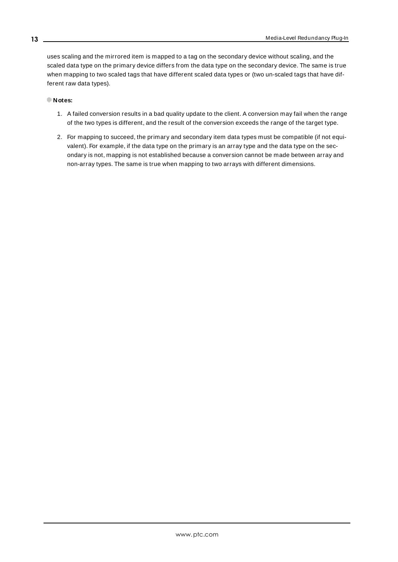uses scaling and the mirrored item is mapped to a tag on the secondary device without scaling, and the scaled data type on the primary device differs from the data type on the secondary device. The same is true when mapping to two scaled tags that have different scaled data types or (two un-scaled tags that have different raw data types).

#### **Notes:**

- 1. A failed conversion results in a bad quality update to the client. A conversion may fail when the range of the two types is different, and the result of the conversion exceeds the range of the target type.
- 2. For mapping to succeed, the primary and secondary item data types must be compatible (if not equivalent). For example, if the data type on the primary is an array type and the data type on the secondary is not, mapping is not established because a conversion cannot be made between array and non-array types. The same is true when mapping to two arrays with different dimensions.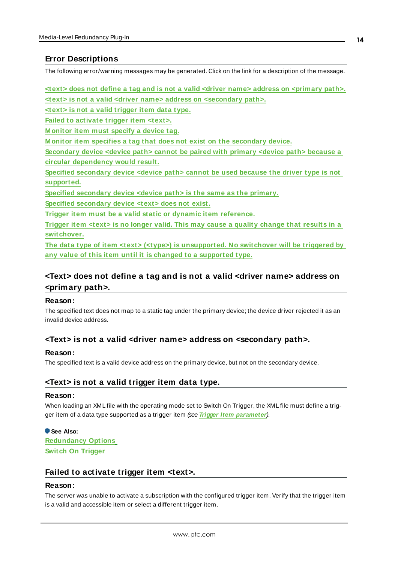# <span id="page-13-0"></span>**Error Descriptions**

The following error/warning messages may be generated. Click on the link for a description of the message.

**<text> does not define a tag and is not a valid <driver name> address on [<primary](#page-13-1) path>. <text> is not a valid <driver name> address on [<secondary](#page-13-2) path>. <text> is not a valid [trigger](#page-13-3) item data type. Failed to [activate](#page-13-4) trigger item <text>. [M onitor](#page-14-0) item must specify a device tag. M onitor item specifies a tag that does not exist on the [secondary](#page-14-1) device. [Secondary](#page-14-2) device <device path> cannot be paired with primary <device path> because a circular [dependency](#page-14-2) would result. Specified [secondary](#page-14-3) device <device path> cannot be used because the driver type is not [supported.](#page-14-3) Specified [secondary](#page-14-4) device <device path> is the same as the primary. Specified [secondary](#page-14-5) device <text> does not exist. Trigger item must be a valid static or dynamic item [reference.](#page-15-0) Trigger item <text> is no longer valid. This may cause a quality [change](#page-15-1) that results in a [switchover.](#page-15-1) The data type of item <text> (<type>) is [unsupported.](#page-14-6) No switchover will be triggered by any value of this item until it is changed to a [supported](#page-14-6) type.**

# <span id="page-13-1"></span>**<Text> does not define a tag and is not a valid <driver name> address on <primary path>.**

#### **Reason:**

The specified text does not map to a static tag under the primary device; the device driver rejected it as an invalid device address.

## <span id="page-13-2"></span>**<Text> is not a valid <driver name> address on <secondary path>.**

#### **Reason:**

<span id="page-13-3"></span>The specified text is a valid device address on the primary device, but not on the secondary device.

## **<Text> is not a valid trigger item data type.**

#### **Reason:**

When loading an XML file with the operating mode set to Switch On Trigger, the XML file must define a trigger item of a data type supported as a trigger item (see **Trigger Item [parameter](#page-5-0)**).

**See Also: [Redundancy](#page-5-0) Options Switch On [Trigger](#page-8-0)**

## <span id="page-13-4"></span>**Failed to activate trigger item <text>.**

#### **Reason:**

The server was unable to activate a subscription with the configured trigger item. Verify that the trigger item is a valid and accessible item or select a different trigger item.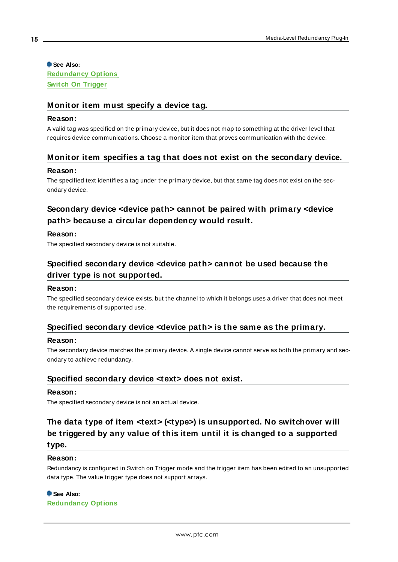#### **See Also: [Redundancy](#page-5-0) Options**

<span id="page-14-0"></span>**Switch On [Trigger](#page-8-0)**

# **Monitor item must specify a device tag.**

#### **Reason:**

A valid tag was specified on the primary device, but it does not map to something at the driver level that requires device communications. Choose a monitor item that proves communication with the device.

# <span id="page-14-1"></span>**Monitor item specifies a tag that does not exist on the secondary device.**

## **Reason:**

The specified text identifies a tag under the primary device, but that same tag does not exist on the secondary device.

# <span id="page-14-2"></span>**Secondary device <device path> cannot be paired with primary <device path> because a circular dependency would result.**

#### **Reason:**

<span id="page-14-3"></span>The specified secondary device is not suitable.

# **Specified secondary device <device path> cannot be used because the driver type is not supported.**

## **Reason:**

The specified secondary device exists, but the channel to which it belongs uses a driver that does not meet the requirements of supported use.

## <span id="page-14-4"></span>**Specified secondary device <device path> is the same as the primary.**

#### **Reason:**

The secondary device matches the primary device. A single device cannot serve as both the primary and secondary to achieve redundancy.

# <span id="page-14-5"></span>**Specified secondary device <text> does not exist.**

#### **Reason:**

<span id="page-14-6"></span>The specified secondary device is not an actual device.

# **The data type of item <text> (<type>) is unsupported. No switchover will be triggered by any value of this item until it is changed to a supported type.**

#### **Reason:**

Redundancy is configured in Switch on Trigger mode and the trigger item has been edited to an unsupported data type. The value trigger type does not support arrays.

## **See Also:**

**[Redundancy](#page-5-0) Options**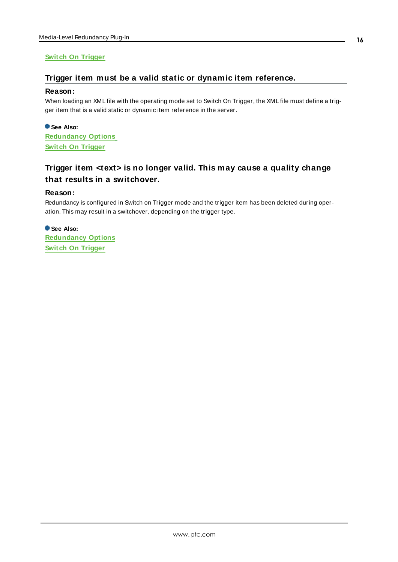# <span id="page-15-0"></span>**Switch On [Trigger](#page-8-0)**

## **Trigger item must be a valid static or dynamic item reference.**

#### **Reason:**

When loading an XML file with the operating mode set to Switch On Trigger, the XML file must define a trigger item that is a valid static or dynamic item reference in the server.

**See Also: [Redundancy](#page-5-0) Options Switch On [Trigger](#page-8-0)**

# <span id="page-15-1"></span>**Trigger item <text> is no longer valid. This may cause a quality change that results in a switchover.**

#### **Reason:**

Redundancy is configured in Switch on Trigger mode and the trigger item has been deleted during operation. This may result in a switchover, depending on the trigger type.

**See Also: [Redundancy](#page-5-0) Options Switch On [Trigger](#page-8-0)**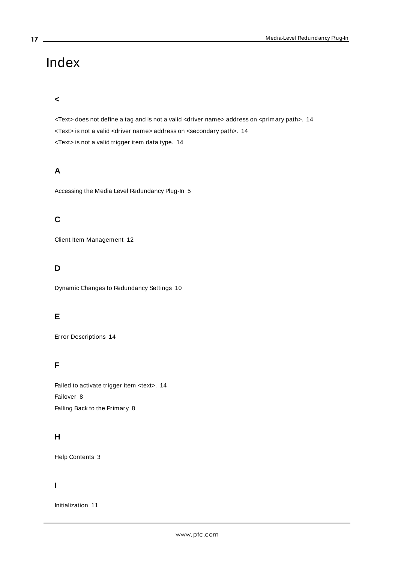# <span id="page-16-0"></span>Index

#### **<**

<Text> does not define a tag and is not a valid <driver name> address on <primary path>. [14](#page-13-1) <Text> is not a valid <driver name> address on <secondary path>. [14](#page-13-2) <Text> is not a valid trigger item data type. [14](#page-13-3)

# **A**

Accessing the Media Level Redundancy Plug-In [5](#page-4-0)

# **C**

Client Item Management [12](#page-11-0)

# **D**

Dynamic Changes to Redundancy Settings [10](#page-9-0)

## **E**

Error Descriptions [14](#page-13-0)

# **F**

Failed to activate trigger item <text>. [14](#page-13-4) Failover [8](#page-7-1) Falling Back to the Primary [8](#page-7-2)

# **H**

Help Contents [3](#page-2-0)

## **I**

Initialization [11](#page-10-1)